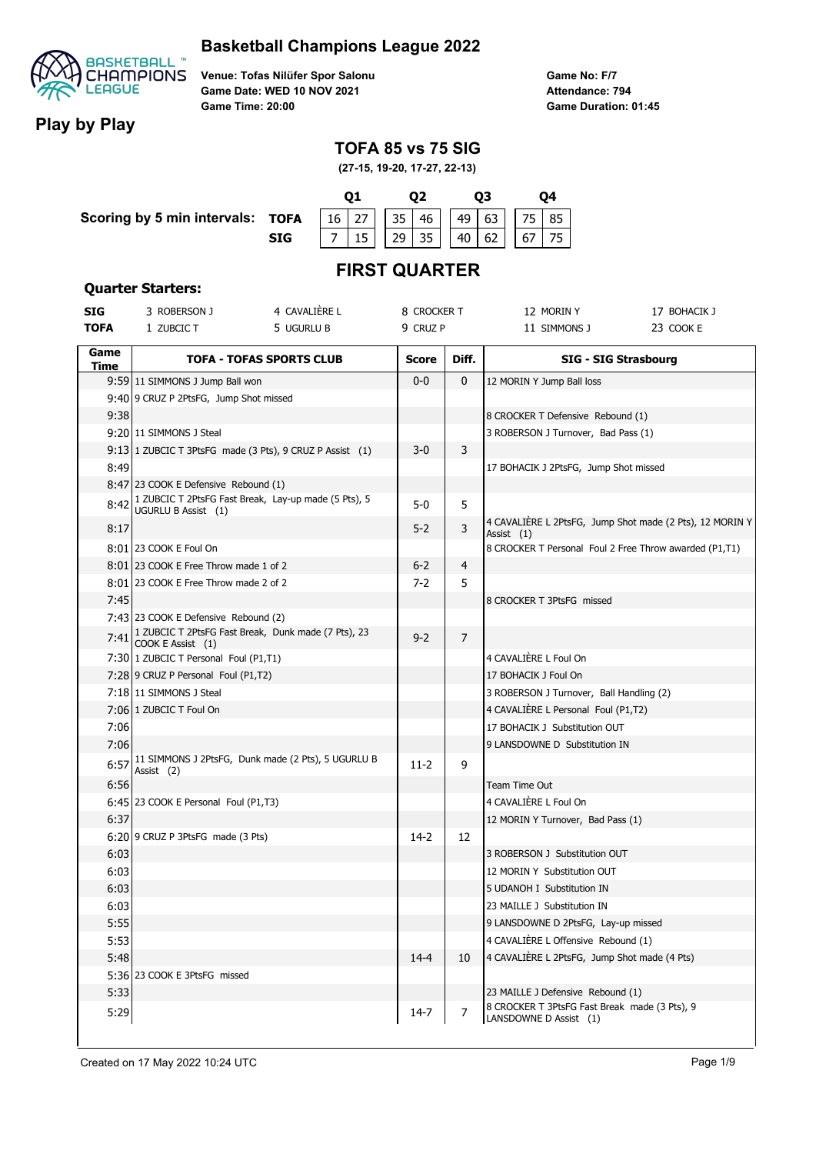

**Venue: Tofas Nilüfer Spor Salonu Game Date: WED 10 NOV 2021 Game Time: 20:00**

**Game No: F/7 Game Duration: 01:45 Attendance: 794**

# **Play by Play**

## **TOFA 85 vs 75 SIG**

**(27-15, 19-20, 17-27, 22-13)**

|                                                                                       |            |                                  |  |  |  |  | า4  |
|---------------------------------------------------------------------------------------|------------|----------------------------------|--|--|--|--|-----|
| <b>Scoring by 5 min intervals: TOFA</b>   16   27     35   46     49   63     75   85 |            |                                  |  |  |  |  |     |
|                                                                                       | <b>SIG</b> | 17   15   29   35   40   62   67 |  |  |  |  | 175 |

# **FIRST QUARTER**

#### **Quarter Starters:**

| SIG  | 3 ROBERSON J                                                                       | 4 CAVALIÈRE L                   | 8 CROCKER T  |                | 12 MORIN Y                                                              | 17 BOHACIK J |
|------|------------------------------------------------------------------------------------|---------------------------------|--------------|----------------|-------------------------------------------------------------------------|--------------|
| TOFA | 1 ZUBCIC T                                                                         | 5 UGURLU B                      | 9 CRUZ P     |                | 11 SIMMONS J                                                            | 23 COOK E    |
| Game |                                                                                    |                                 |              |                |                                                                         |              |
| Time |                                                                                    | <b>TOFA - TOFAS SPORTS CLUB</b> | <b>Score</b> | Diff.          | SIG - SIG Strasbourg                                                    |              |
|      | 9:59 11 SIMMONS J Jump Ball won                                                    |                                 | $0-0$        | 0              | 12 MORIN Y Jump Ball loss                                               |              |
|      | 9:40 9 CRUZ P 2PtsFG, Jump Shot missed                                             |                                 |              |                |                                                                         |              |
| 9:38 |                                                                                    |                                 |              |                | 8 CROCKER T Defensive Rebound (1)                                       |              |
|      | 9:20 11 SIMMONS J Steal                                                            |                                 |              |                | 3 ROBERSON J Turnover, Bad Pass (1)                                     |              |
|      | 9:13 1 ZUBCIC T 3PtsFG made (3 Pts), 9 CRUZ P Assist (1)                           |                                 | $3 - 0$      | 3              |                                                                         |              |
| 8:49 |                                                                                    |                                 |              |                | 17 BOHACIK J 2PtsFG, Jump Shot missed                                   |              |
|      | 8:47 23 COOK E Defensive Rebound (1)                                               |                                 |              |                |                                                                         |              |
|      | 8:42   I ZUBCIC T 2PtsFG Fast Break, Lay-up made (5 Pts), 5<br>UGURLU B Assist (1) |                                 | 5-0          | 5              |                                                                         |              |
| 8:17 |                                                                                    |                                 | $5-2$        | 3              | 4 CAVALIÈRE L 2PtsFG, Jump Shot made (2 Pts), 12 MORIN Y<br>Assist (1)  |              |
|      | 8:01 23 COOK E Foul On                                                             |                                 |              |                | 8 CROCKER T Personal Foul 2 Free Throw awarded (P1,T1)                  |              |
|      | 8:01 23 COOK E Free Throw made 1 of 2                                              |                                 | 6-2          | 4              |                                                                         |              |
|      | 8:01 23 COOK E Free Throw made 2 of 2                                              |                                 | 7-2          | 5              |                                                                         |              |
| 7:45 |                                                                                    |                                 |              |                | 8 CROCKER T 3PtsFG missed                                               |              |
|      | 7:43 23 COOK E Defensive Rebound (2)                                               |                                 |              |                |                                                                         |              |
| 7:41 | 1 ZUBCIC T 2PtsFG Fast Break, Dunk made (7 Pts), 23<br>COOK E Assist (1)           |                                 | $9 - 2$      | $\overline{7}$ |                                                                         |              |
|      | 7:30 1 ZUBCIC T Personal Foul (P1,T1)                                              |                                 |              |                | 4 CAVALIÈRE L Foul On                                                   |              |
|      | 7:28 9 CRUZ P Personal Foul (P1,T2)                                                |                                 |              |                | 17 BOHACIK J Foul On                                                    |              |
|      | 7:18 11 SIMMONS J Steal                                                            |                                 |              |                | 3 ROBERSON J Turnover, Ball Handling (2)                                |              |
|      | 7:06 1 ZUBCIC T Foul On                                                            |                                 |              |                | 4 CAVALIERE L Personal Foul (P1,T2)                                     |              |
| 7:06 |                                                                                    |                                 |              |                | 17 BOHACIK J Substitution OUT                                           |              |
| 7:06 |                                                                                    |                                 |              |                | 9 LANSDOWNE D Substitution IN                                           |              |
| 6:57 | 11 SIMMONS J 2PtsFG, Dunk made (2 Pts), 5 UGURLU B<br>Assist (2)                   |                                 | $11-2$       | 9              |                                                                         |              |
| 6:56 |                                                                                    |                                 |              |                | Team Time Out                                                           |              |
|      | 6:45 23 COOK E Personal Foul (P1,T3)                                               |                                 |              |                | 4 CAVALIÈRE L Foul On                                                   |              |
| 6:37 |                                                                                    |                                 |              |                | 12 MORIN Y Turnover, Bad Pass (1)                                       |              |
|      | 6:20 9 CRUZ P 3PtsFG made (3 Pts)                                                  |                                 | $14-2$       | 12             |                                                                         |              |
| 6:03 |                                                                                    |                                 |              |                | 3 ROBERSON J Substitution OUT                                           |              |
| 6:03 |                                                                                    |                                 |              |                | 12 MORIN Y Substitution OUT                                             |              |
| 6:03 |                                                                                    |                                 |              |                | 5 UDANOH I Substitution IN                                              |              |
| 6:03 |                                                                                    |                                 |              |                | 23 MAILLE J Substitution IN                                             |              |
| 5:55 |                                                                                    |                                 |              |                | 9 LANSDOWNE D 2PtsFG, Lay-up missed                                     |              |
| 5:53 |                                                                                    |                                 |              |                | 4 CAVALIÈRE L Offensive Rebound (1)                                     |              |
| 5:48 |                                                                                    |                                 | $14 - 4$     | 10             | 4 CAVALIÈRE L 2PtsFG, Jump Shot made (4 Pts)                            |              |
|      | 5:36 23 COOK E 3PtsFG missed                                                       |                                 |              |                |                                                                         |              |
| 5:33 |                                                                                    |                                 |              |                | 23 MAILLE J Defensive Rebound (1)                                       |              |
| 5:29 |                                                                                    |                                 | $14-7$       | 7              | 8 CROCKER T 3PtsFG Fast Break made (3 Pts), 9<br>LANSDOWNE D Assist (1) |              |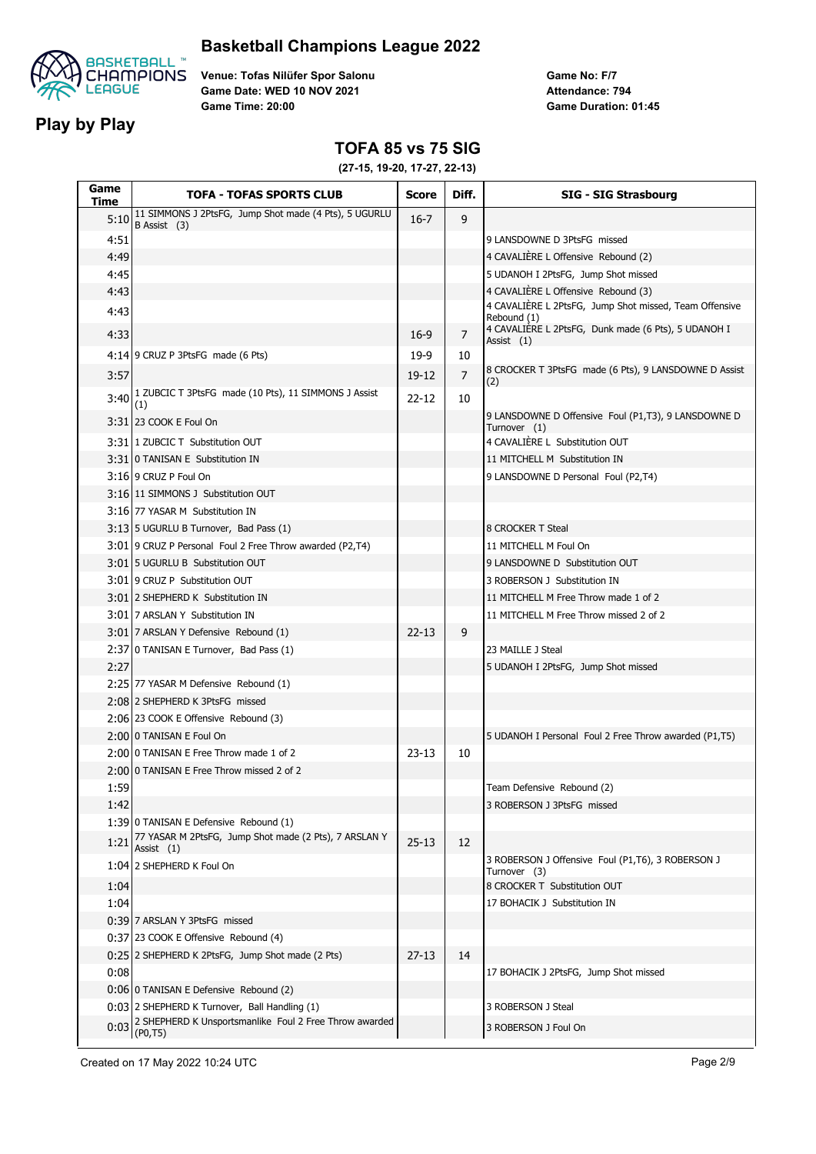

**Play by Play**

**Venue: Tofas Nilüfer Spor Salonu Game Date: WED 10 NOV 2021 Game Time: 20:00**

**Game No: F/7 Game Duration: 01:45 Attendance: 794**

#### **TOFA 85 vs 75 SIG**

**(27-15, 19-20, 17-27, 22-13)**

| Game<br>Time | TOFA - TOFAS SPORTS CLUB                                              | <b>Score</b> | Diff.          | <b>SIG - SIG Strasbourg</b>                                         |
|--------------|-----------------------------------------------------------------------|--------------|----------------|---------------------------------------------------------------------|
| 5:10         | 11 SIMMONS J 2PtsFG, Jump Shot made (4 Pts), 5 UGURLU<br>B Assist (3) | $16 - 7$     | 9              |                                                                     |
| 4:51         |                                                                       |              |                | 9 LANSDOWNE D 3PtsFG missed                                         |
| 4:49         |                                                                       |              |                | 4 CAVALIERE L Offensive Rebound (2)                                 |
| 4:45         |                                                                       |              |                | 5 UDANOH I 2PtsFG, Jump Shot missed                                 |
| 4:43         |                                                                       |              |                | 4 CAVALIÈRE L Offensive Rebound (3)                                 |
| 4:43         |                                                                       |              |                | 4 CAVALIÈRE L 2PtsFG, Jump Shot missed, Team Offensive              |
|              |                                                                       |              |                | Rebound (1)<br>4 CAVALIERE L 2PtsFG, Dunk made (6 Pts), 5 UDANOH I  |
| 4:33         |                                                                       | $16-9$       | $\overline{7}$ | Assist (1)                                                          |
|              | 4:14 9 CRUZ P 3PtsFG made (6 Pts)                                     | $19-9$       | 10             |                                                                     |
| 3:57         |                                                                       | $19-12$      | $\overline{7}$ | 8 CROCKER T 3PtsFG made (6 Pts), 9 LANSDOWNE D Assist               |
|              | 3:40 1 ZUBCIC T 3PtsFG made (10 Pts), 11 SIMMONS J Assist<br>(1)      | $22 - 12$    | 10             | (2)                                                                 |
|              | 3:31 23 COOK E Foul On                                                |              |                | 9 LANSDOWNE D Offensive Foul (P1,T3), 9 LANSDOWNE D<br>Turnover (1) |
|              | 3:31 1 ZUBCIC T Substitution OUT                                      |              |                | 4 CAVALIÈRE L Substitution OUT                                      |
|              | 3:31 0 TANISAN E Substitution IN                                      |              |                | 11 MITCHELL M Substitution IN                                       |
|              | 3:16 9 CRUZ P Foul On                                                 |              |                | 9 LANSDOWNE D Personal Foul (P2,T4)                                 |
|              | 3:16 11 SIMMONS J Substitution OUT                                    |              |                |                                                                     |
|              | 3:16 77 YASAR M Substitution IN                                       |              |                |                                                                     |
|              | 3:13 5 UGURLU B Turnover, Bad Pass (1)                                |              |                | 8 CROCKER T Steal                                                   |
|              | 3:01 9 CRUZ P Personal Foul 2 Free Throw awarded (P2,T4)              |              |                | 11 MITCHELL M Foul On                                               |
|              | 3:01 5 UGURLU B Substitution OUT                                      |              |                | 9 LANSDOWNE D Substitution OUT                                      |
|              | 3:01 9 CRUZ P Substitution OUT                                        |              |                | 3 ROBERSON J Substitution IN                                        |
|              | 3:01 2 SHEPHERD K Substitution IN                                     |              |                | 11 MITCHELL M Free Throw made 1 of 2                                |
|              | 3:01 7 ARSLAN Y Substitution IN                                       |              |                | 11 MITCHELL M Free Throw missed 2 of 2                              |
|              | 3:01 7 ARSLAN Y Defensive Rebound (1)                                 | $22 - 13$    | 9              |                                                                     |
|              | 2:37 0 TANISAN E Turnover, Bad Pass (1)                               |              |                | 23 MAILLE J Steal                                                   |
| 2:27         |                                                                       |              |                | 5 UDANOH I 2PtsFG, Jump Shot missed                                 |
|              | 2:25 77 YASAR M Defensive Rebound (1)                                 |              |                |                                                                     |
|              | 2:08 2 SHEPHERD K 3PtsFG missed                                       |              |                |                                                                     |
|              | 2:06 23 COOK E Offensive Rebound (3)                                  |              |                |                                                                     |
|              | 2:00 0 TANISAN E Foul On                                              |              |                | 5 UDANOH I Personal Foul 2 Free Throw awarded (P1,T5)               |
|              | 2:00 0 TANISAN E Free Throw made 1 of 2                               | $23 - 13$    | 10             |                                                                     |
|              | 2:00 0 TANISAN E Free Throw missed 2 of 2                             |              |                |                                                                     |
| 1:59         |                                                                       |              |                | Team Defensive Rebound (2)                                          |
| 1:42         |                                                                       |              |                | 3 ROBERSON J 3PtsFG missed                                          |
|              | 1:39 0 TANISAN E Defensive Rebound (1)                                |              |                |                                                                     |
| 1:21         | 77 YASAR M 2PtsFG, Jump Shot made (2 Pts), 7 ARSLAN Y<br>Assist (1)   | $25 - 13$    | 12             |                                                                     |
|              | 1:04 2 SHEPHERD K Foul On                                             |              |                | 3 ROBERSON J Offensive Foul (P1,T6), 3 ROBERSON J<br>Turnover (3)   |
| 1:04         |                                                                       |              |                | 8 CROCKER T Substitution OUT                                        |
| 1:04         |                                                                       |              |                | 17 BOHACIK J Substitution IN                                        |
|              | 0:39 7 ARSLAN Y 3PtsFG missed                                         |              |                |                                                                     |
|              | 0:37 23 COOK E Offensive Rebound (4)                                  |              |                |                                                                     |
|              | 0:25 2 SHEPHERD K 2PtsFG, Jump Shot made (2 Pts)                      | $27 - 13$    | 14             |                                                                     |
| 0:08         |                                                                       |              |                | 17 BOHACIK J 2PtsFG, Jump Shot missed                               |
|              | 0:06 0 TANISAN E Defensive Rebound (2)                                |              |                |                                                                     |
|              | 0:03 2 SHEPHERD K Turnover, Ball Handling (1)                         |              |                | 3 ROBERSON J Steal                                                  |
| 0:03         | 2 SHEPHERD K Unsportsmanlike Foul 2 Free Throw awarded<br>(PO, T5)    |              |                | 3 ROBERSON J Foul On                                                |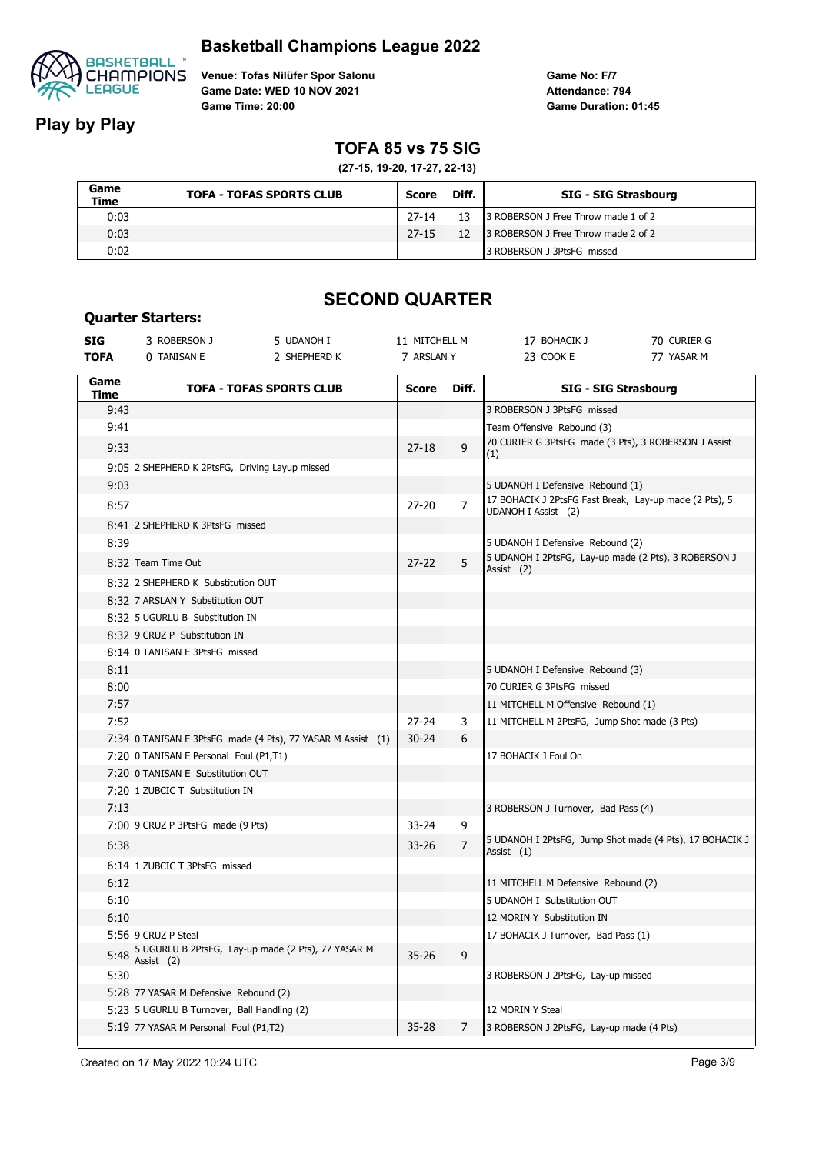

**Play by Play**

**Venue: Tofas Nilüfer Spor Salonu Game Date: WED 10 NOV 2021 Game Time: 20:00**

**Game No: F/7 Game Duration: 01:45 Attendance: 794**

## **TOFA 85 vs 75 SIG**

**(27-15, 19-20, 17-27, 22-13)**

| Game<br>Time | <b>TOFA - TOFAS SPORTS CLUB</b> | Score     | Diff. | SIG - SIG Strasbourg                |
|--------------|---------------------------------|-----------|-------|-------------------------------------|
| 0:03         |                                 | $27 - 14$ |       | 3 ROBERSON J Free Throw made 1 of 2 |
| 0:03         |                                 | 27-15     |       | 3 ROBERSON J Free Throw made 2 of 2 |
| 0:02         |                                 |           |       | 3 ROBERSON J 3PtsFG missed          |

# **SECOND QUARTER**

#### **Quarter Starters:**

| <b>SIG</b>   | 3 ROBERSON J                                                     | 5 UDANOH I                                                  | 11 MITCHELL M |                | 17 BOHACIK J                                                                  | 70 CURIER G |  |
|--------------|------------------------------------------------------------------|-------------------------------------------------------------|---------------|----------------|-------------------------------------------------------------------------------|-------------|--|
| <b>TOFA</b>  | 0 TANISAN E                                                      | 2 SHEPHERD K                                                | 7 ARSLAN Y    |                | 23 COOK E                                                                     | 77 YASAR M  |  |
| Game<br>Time |                                                                  | <b>TOFA - TOFAS SPORTS CLUB</b>                             | <b>Score</b>  | Diff.          | SIG - SIG Strasbourg                                                          |             |  |
| 9:43         |                                                                  |                                                             |               |                | 3 ROBERSON J 3PtsFG missed                                                    |             |  |
| 9:41         |                                                                  |                                                             |               |                | Team Offensive Rebound (3)                                                    |             |  |
| 9:33         |                                                                  |                                                             | $27 - 18$     | 9              | 70 CURIER G 3PtsFG made (3 Pts), 3 ROBERSON J Assist<br>(1)                   |             |  |
|              | 9:05 2 SHEPHERD K 2PtsFG, Driving Layup missed                   |                                                             |               |                |                                                                               |             |  |
| 9:03         |                                                                  |                                                             |               |                | 5 UDANOH I Defensive Rebound (1)                                              |             |  |
| 8:57         |                                                                  |                                                             | $27 - 20$     | $\overline{7}$ | 17 BOHACIK J 2PtsFG Fast Break, Lay-up made (2 Pts), 5<br>UDANOH I Assist (2) |             |  |
|              | 8:41 2 SHEPHERD K 3PtsFG missed                                  |                                                             |               |                |                                                                               |             |  |
| 8:39         |                                                                  |                                                             |               |                | 5 UDANOH I Defensive Rebound (2)                                              |             |  |
|              | 8:32 Team Time Out                                               |                                                             | $27 - 22$     | 5              | 5 UDANOH I 2PtsFG, Lay-up made (2 Pts), 3 ROBERSON J<br>Assist (2)            |             |  |
|              | 8:32 2 SHEPHERD K Substitution OUT                               |                                                             |               |                |                                                                               |             |  |
|              | 8:32 7 ARSLAN Y Substitution OUT                                 |                                                             |               |                |                                                                               |             |  |
|              | 8:32 5 UGURLU B Substitution IN                                  |                                                             |               |                |                                                                               |             |  |
|              | 8:32 9 CRUZ P Substitution IN                                    |                                                             |               |                |                                                                               |             |  |
|              | 8:14 0 TANISAN E 3PtsFG missed                                   |                                                             |               |                |                                                                               |             |  |
| 8:11         |                                                                  |                                                             |               |                | 5 UDANOH I Defensive Rebound (3)                                              |             |  |
| 8:00         |                                                                  |                                                             |               |                | 70 CURIER G 3PtsFG missed                                                     |             |  |
| 7:57         |                                                                  |                                                             |               |                | 11 MITCHELL M Offensive Rebound (1)                                           |             |  |
| 7:52         |                                                                  |                                                             | $27 - 24$     | 3              | 11 MITCHELL M 2PtsFG, Jump Shot made (3 Pts)                                  |             |  |
|              |                                                                  | 7:34 0 TANISAN E 3PtsFG made (4 Pts), 77 YASAR M Assist (1) | $30 - 24$     | 6              |                                                                               |             |  |
|              | 7:20 0 TANISAN E Personal Foul (P1,T1)                           |                                                             |               |                | 17 BOHACIK J Foul On                                                          |             |  |
|              | 7:20 0 TANISAN E Substitution OUT                                |                                                             |               |                |                                                                               |             |  |
|              | 7:20 1 ZUBCIC T Substitution IN                                  |                                                             |               |                |                                                                               |             |  |
| 7:13         |                                                                  |                                                             |               |                | 3 ROBERSON J Turnover, Bad Pass (4)                                           |             |  |
|              | 7:00 9 CRUZ P 3PtsFG made (9 Pts)                                |                                                             | 33-24         | 9              | 5 UDANOH I 2PtsFG, Jump Shot made (4 Pts), 17 BOHACIK J                       |             |  |
| 6:38         |                                                                  |                                                             | $33 - 26$     | $\overline{7}$ | Assist (1)                                                                    |             |  |
|              | 6:14 1 ZUBCIC T 3PtsFG missed                                    |                                                             |               |                |                                                                               |             |  |
| 6:12         |                                                                  |                                                             |               |                | 11 MITCHELL M Defensive Rebound (2)                                           |             |  |
| 6:10         |                                                                  |                                                             |               |                | 5 UDANOH I Substitution OUT                                                   |             |  |
| 6:10         |                                                                  |                                                             |               |                | 12 MORIN Y Substitution IN                                                    |             |  |
|              | 5:56 9 CRUZ P Steal                                              |                                                             |               |                | 17 BOHACIK J Turnover, Bad Pass (1)                                           |             |  |
| 5:48         | 5 UGURLU B 2PtsFG, Lay-up made (2 Pts), 77 YASAR M<br>Assist (2) |                                                             | $35 - 26$     | 9              |                                                                               |             |  |
| 5:30         |                                                                  |                                                             |               |                | 3 ROBERSON J 2PtsFG, Lay-up missed                                            |             |  |
|              | 5:28 77 YASAR M Defensive Rebound (2)                            |                                                             |               |                |                                                                               |             |  |
|              | 5:23 5 UGURLU B Turnover, Ball Handling (2)                      |                                                             |               |                | 12 MORIN Y Steal                                                              |             |  |
|              | 5:19 77 YASAR M Personal Foul (P1,T2)                            |                                                             | $35 - 28$     | 7              | 3 ROBERSON J 2PtsFG, Lay-up made (4 Pts)                                      |             |  |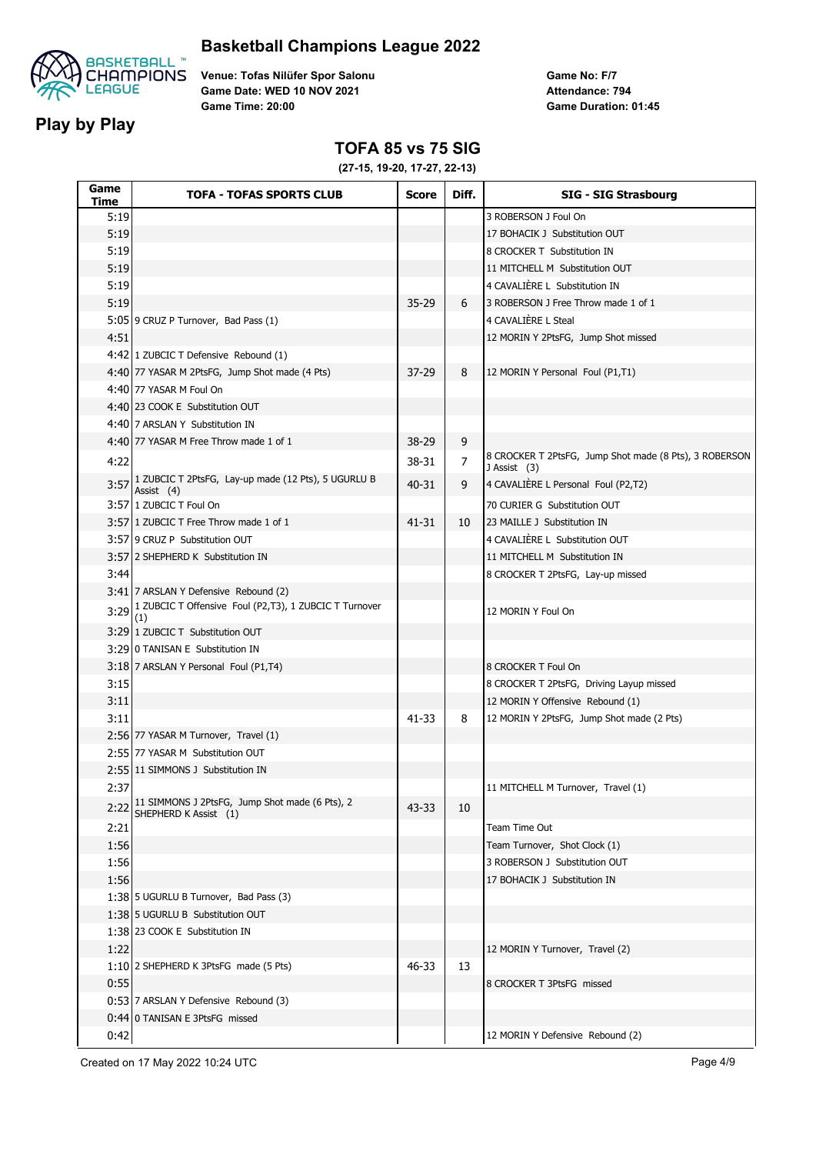

**Venue: Tofas Nilüfer Spor Salonu Game Date: WED 10 NOV 2021 Game Time: 20:00**

**Game No: F/7 Game Duration: 01:45 Attendance: 794**

#### **TOFA 85 vs 75 SIG**

**(27-15, 19-20, 17-27, 22-13)**

| Game<br>Time | <b>TOFA - TOFAS SPORTS CLUB</b>                                              | <b>Score</b> | Diff. | <b>SIG - SIG Strasbourg</b>                            |
|--------------|------------------------------------------------------------------------------|--------------|-------|--------------------------------------------------------|
| 5:19         |                                                                              |              |       | 3 ROBERSON J Foul On                                   |
| 5:19         |                                                                              |              |       | 17 BOHACIK J Substitution OUT                          |
| 5:19         |                                                                              |              |       | 8 CROCKER T Substitution IN                            |
| 5:19         |                                                                              |              |       | 11 MITCHELL M Substitution OUT                         |
| 5:19         |                                                                              |              |       | 4 CAVALIÈRE L Substitution IN                          |
| 5:19         |                                                                              | $35 - 29$    | 6     | 3 ROBERSON J Free Throw made 1 of 1                    |
|              | 5:05 9 CRUZ P Turnover, Bad Pass (1)                                         |              |       | 4 CAVALIÈRE L Steal                                    |
| 4:51         |                                                                              |              |       | 12 MORIN Y 2PtsFG, Jump Shot missed                    |
|              | 4:42 1 ZUBCIC T Defensive Rebound (1)                                        |              |       |                                                        |
|              | 4:40 77 YASAR M 2PtsFG, Jump Shot made (4 Pts)                               | $37 - 29$    | 8     | 12 MORIN Y Personal Foul (P1,T1)                       |
|              | 4:40 77 YASAR M Foul On                                                      |              |       |                                                        |
|              | 4:40 23 COOK E Substitution OUT                                              |              |       |                                                        |
|              | 4:40 7 ARSLAN Y Substitution IN                                              |              |       |                                                        |
|              | 4:40 77 YASAR M Free Throw made 1 of 1                                       | 38-29        | 9     |                                                        |
|              |                                                                              |              |       | 8 CROCKER T 2PtsFG, Jump Shot made (8 Pts), 3 ROBERSON |
| 4:22         |                                                                              | 38-31        | 7     | J Assist (3)                                           |
| 3:57         | 1 ZUBCIC T 2PtsFG, Lay-up made (12 Pts), 5 UGURLU B<br>Assist (4)            | 40-31        | 9     | 4 CAVALIÈRE L Personal Foul (P2,T2)                    |
|              | 3:57 1 ZUBCIC T Foul On                                                      |              |       | 70 CURIER G Substitution OUT                           |
|              | 3:57   1 ZUBCIC T Free Throw made 1 of 1                                     | 41-31        | 10    | 23 MAILLE J Substitution IN                            |
|              | 3:57 9 CRUZ P Substitution OUT                                               |              |       | 4 CAVALIÈRE L Substitution OUT                         |
|              | 3:57 2 SHEPHERD K Substitution IN                                            |              |       | 11 MITCHELL M Substitution IN                          |
| 3:44         |                                                                              |              |       | 8 CROCKER T 2PtsFG, Lay-up missed                      |
|              | 3:41 7 ARSLAN Y Defensive Rebound (2)                                        |              |       |                                                        |
| 3:29         | 1 ZUBCIC T Offensive Foul (P2,T3), 1 ZUBCIC T Turnover<br>(1)                |              |       | 12 MORIN Y Foul On                                     |
|              | 3:29 1 ZUBCIC T Substitution OUT                                             |              |       |                                                        |
|              | 3:29 0 TANISAN E Substitution IN                                             |              |       |                                                        |
|              | 3:18 7 ARSLAN Y Personal Foul (P1,T4)                                        |              |       | 8 CROCKER T Foul On                                    |
| 3:15         |                                                                              |              |       | 8 CROCKER T 2PtsFG, Driving Layup missed               |
| 3:11         |                                                                              |              |       | 12 MORIN Y Offensive Rebound (1)                       |
| 3:11         |                                                                              | $41 - 33$    | 8     | 12 MORIN Y 2PtsFG, Jump Shot made (2 Pts)              |
|              | 2:56 77 YASAR M Turnover, Travel (1)                                         |              |       |                                                        |
|              | 2:55 77 YASAR M Substitution OUT                                             |              |       |                                                        |
|              | 2:55 11 SIMMONS J Substitution IN                                            |              |       |                                                        |
| 2:37         |                                                                              |              |       | 11 MITCHELL M Turnover, Travel (1)                     |
|              | 2:22 11 SIMMONS J 2PtsFG, Jump Shot made (6 Pts), 2<br>SHEPHERD K Assist (1) | 43-33        | 10    |                                                        |
| 2:21         |                                                                              |              |       | Team Time Out                                          |
| 1:56         |                                                                              |              |       | Team Turnover, Shot Clock (1)                          |
| 1:56         |                                                                              |              |       | 3 ROBERSON J Substitution OUT                          |
| 1:56         |                                                                              |              |       | 17 BOHACIK J Substitution IN                           |
|              | 1:38 5 UGURLU B Turnover, Bad Pass (3)                                       |              |       |                                                        |
|              | 1:38 5 UGURLU B Substitution OUT                                             |              |       |                                                        |
|              | 1:38 23 COOK E Substitution IN                                               |              |       |                                                        |
| 1:22         |                                                                              |              |       | 12 MORIN Y Turnover, Travel (2)                        |
|              | 1:10 2 SHEPHERD K 3PtsFG made (5 Pts)                                        | 46-33        | 13    |                                                        |
| 0:55         |                                                                              |              |       | 8 CROCKER T 3PtsFG missed                              |
|              | 0:53 7 ARSLAN Y Defensive Rebound (3)                                        |              |       |                                                        |
|              | 0:44 0 TANISAN E 3PtsFG missed                                               |              |       |                                                        |
| 0:42         |                                                                              |              |       | 12 MORIN Y Defensive Rebound (2)                       |
|              |                                                                              |              |       |                                                        |

# **Play by Play**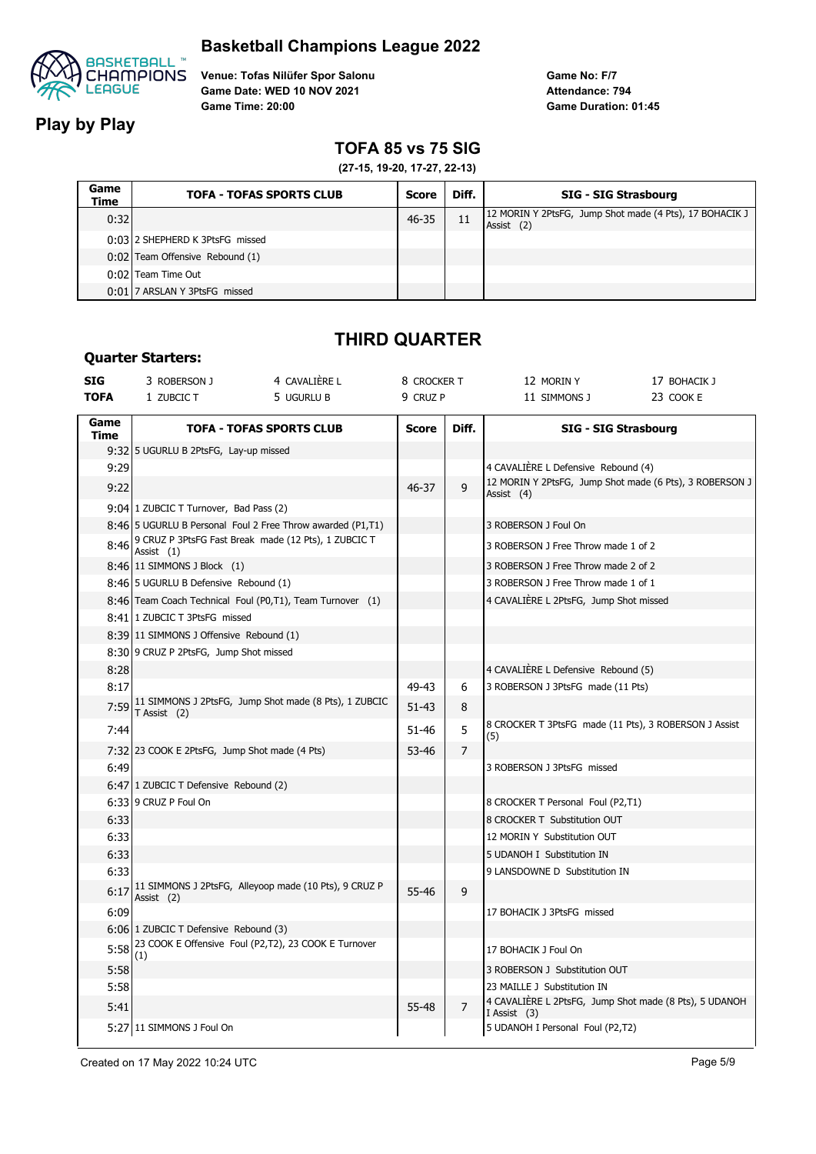

**Play by Play**

**Venue: Tofas Nilüfer Spor Salonu Game Date: WED 10 NOV 2021 Game Time: 20:00**

**Game No: F/7 Game Duration: 01:45 Attendance: 794**

## **TOFA 85 vs 75 SIG**

**(27-15, 19-20, 17-27, 22-13)**

| Game<br>Time | <b>TOFA - TOFAS SPORTS CLUB</b> | Score     | Diff. | <b>SIG - SIG Strasbourg</b>                                              |
|--------------|---------------------------------|-----------|-------|--------------------------------------------------------------------------|
| 0:32         |                                 | $46 - 35$ | 11    | 12 MORIN Y 2PtsFG, Jump Shot made (4 Pts), 17 BOHACIK J<br>Assist<br>(2) |
|              | 0:03 2 SHEPHERD K 3PtsFG missed |           |       |                                                                          |
|              | 0:02 Team Offensive Rebound (1) |           |       |                                                                          |
|              | 0:02 Team Time Out              |           |       |                                                                          |
|              | 0:01 7 ARSLAN Y 3PtsFG missed   |           |       |                                                                          |

# **THIRD QUARTER**

#### **Quarter Starters:**

| <b>SIG</b>  | ROBERSON J      | 4 CAVALIERE L | , CROCKER ⊤ | MORIN Y   | <b>BOHACIK ?</b> |
|-------------|-----------------|---------------|-------------|-----------|------------------|
| <b>TOFA</b> | <b>ZUBCIC T</b> | 5 Ugurlu b    | 9 CRUZ P    | SIMMONS . | 23 COOK E        |

| Game<br>Time | TOFA - TOFAS SPORTS CLUB                                                  | <b>Score</b> | Diff.          | SIG - SIG Strasbourg                                                   |
|--------------|---------------------------------------------------------------------------|--------------|----------------|------------------------------------------------------------------------|
|              | 9:32 5 UGURLU B 2PtsFG, Lay-up missed                                     |              |                |                                                                        |
| 9:29         |                                                                           |              |                | 4 CAVALIÈRE L Defensive Rebound (4)                                    |
| 9:22         |                                                                           | 46-37        | 9              | 12 MORIN Y 2PtsFG, Jump Shot made (6 Pts), 3 ROBERSON J<br>Assist (4)  |
|              | 9:04 1 ZUBCIC T Turnover, Bad Pass (2)                                    |              |                |                                                                        |
|              | 8:46 5 UGURLU B Personal Foul 2 Free Throw awarded (P1,T1)                |              |                | 3 ROBERSON J Foul On                                                   |
| 8:46         | 9 CRUZ P 3PtsFG Fast Break made (12 Pts), 1 ZUBCIC T<br>Assist (1)        |              |                | 3 ROBERSON J Free Throw made 1 of 2                                    |
|              | 8:46 11 SIMMONS J Block (1)                                               |              |                | 3 ROBERSON J Free Throw made 2 of 2                                    |
|              | 8:46 5 UGURLU B Defensive Rebound (1)                                     |              |                | 3 ROBERSON J Free Throw made 1 of 1                                    |
|              | 8:46 Team Coach Technical Foul (P0,T1), Team Turnover (1)                 |              |                | 4 CAVALIÈRE L 2PtsFG, Jump Shot missed                                 |
|              | 8:41 1 ZUBCIC T 3PtsFG missed                                             |              |                |                                                                        |
|              | 8:39 11 SIMMONS J Offensive Rebound (1)                                   |              |                |                                                                        |
|              | 8:30 9 CRUZ P 2PtsFG, Jump Shot missed                                    |              |                |                                                                        |
| 8:28         |                                                                           |              |                | 4 CAVALIERE L Defensive Rebound (5)                                    |
| 8:17         |                                                                           | 49-43        | 6              | 3 ROBERSON J 3PtsFG made (11 Pts)                                      |
| 7:59         | 11 SIMMONS J 2PtsFG, Jump Shot made (8 Pts), 1 ZUBCIC<br>$T$ Assist $(2)$ | $51 - 43$    | 8              |                                                                        |
| 7:44         |                                                                           | 51-46        | 5              | 8 CROCKER T 3PtsFG made (11 Pts), 3 ROBERSON J Assist<br>(5)           |
|              | 7:32 23 COOK E 2PtsFG, Jump Shot made (4 Pts)                             | 53-46        | 7              |                                                                        |
| 6:49         |                                                                           |              |                | 3 ROBERSON J 3PtsFG missed                                             |
|              | 6:47 1 ZUBCIC T Defensive Rebound (2)                                     |              |                |                                                                        |
|              | 6:33 9 CRUZ P Foul On                                                     |              |                | 8 CROCKER T Personal Foul (P2,T1)                                      |
| 6:33         |                                                                           |              |                | 8 CROCKER T Substitution OUT                                           |
| 6:33         |                                                                           |              |                | 12 MORIN Y Substitution OUT                                            |
| 6:33         |                                                                           |              |                | 5 UDANOH I Substitution IN                                             |
| 6:33         |                                                                           |              |                | 9 LANSDOWNE D Substitution IN                                          |
| 6:17         | 11 SIMMONS J 2PtsFG, Alleyoop made (10 Pts), 9 CRUZ P<br>Assist (2)       | 55-46        | 9              |                                                                        |
| 6:09         |                                                                           |              |                | 17 BOHACIK J 3PtsFG missed                                             |
|              | 6:06 1 ZUBCIC T Defensive Rebound (3)                                     |              |                |                                                                        |
| 5:58         | 23 COOK E Offensive Foul (P2,T2), 23 COOK E Turnover<br>(1)               |              |                | 17 BOHACIK J Foul On                                                   |
| 5:58         |                                                                           |              |                | 3 ROBERSON J Substitution OUT                                          |
| 5:58         |                                                                           |              |                | 23 MAILLE J Substitution IN                                            |
| 5:41         |                                                                           | 55-48        | $\overline{7}$ | 4 CAVALIÈRE L 2PtsFG, Jump Shot made (8 Pts), 5 UDANOH<br>I Assist (3) |
|              | 5:27 11 SIMMONS J Foul On                                                 |              |                | 5 UDANOH I Personal Foul (P2,T2)                                       |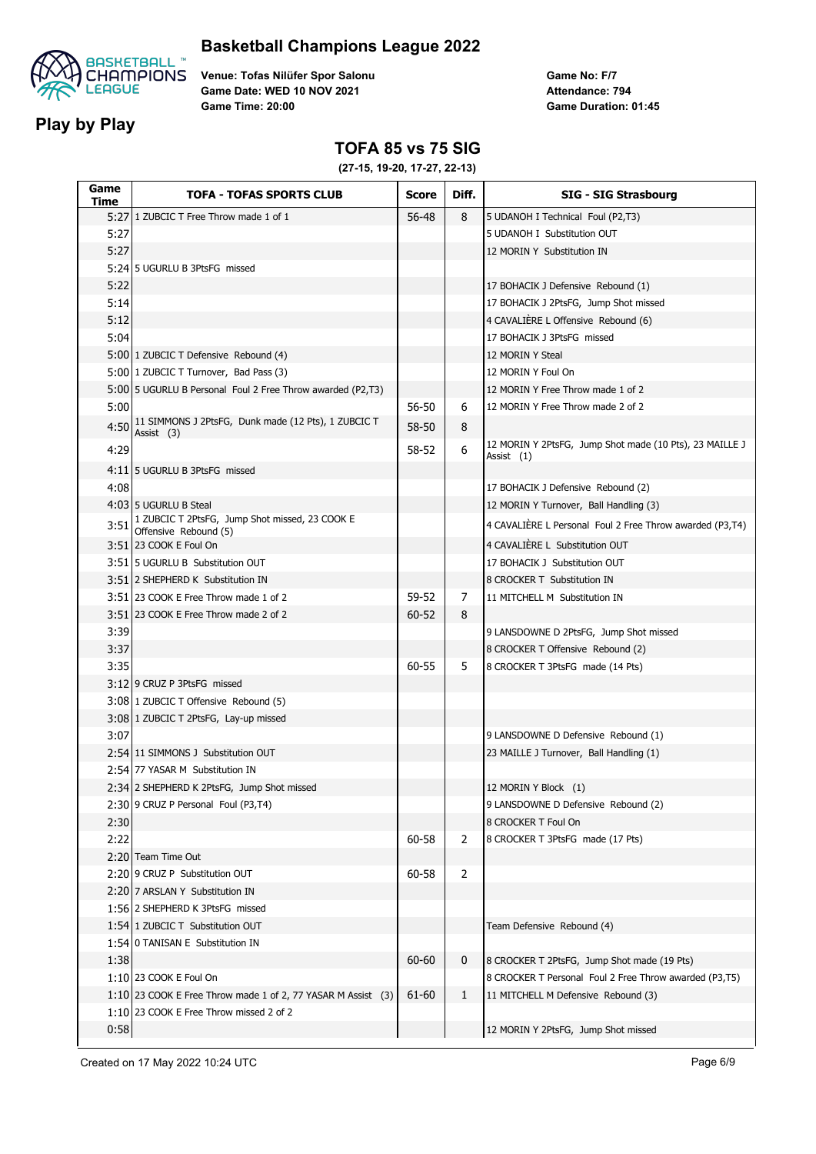

**Play by Play**

**Venue: Tofas Nilüfer Spor Salonu Game Date: WED 10 NOV 2021 Game Time: 20:00**

**Game No: F/7 Game Duration: 01:45 Attendance: 794**

#### **TOFA 85 vs 75 SIG**

**(27-15, 19-20, 17-27, 22-13)**

| Game<br>Time | <b>TOFA - TOFAS SPORTS CLUB</b>                                         | <b>Score</b> | Diff.          | <b>SIG - SIG Strasbourg</b>                              |
|--------------|-------------------------------------------------------------------------|--------------|----------------|----------------------------------------------------------|
|              | 5:27 1 ZUBCIC T Free Throw made 1 of 1                                  | 56-48        | 8              | 5 UDANOH I Technical Foul (P2,T3)                        |
| 5:27         |                                                                         |              |                | 5 UDANOH I Substitution OUT                              |
| 5:27         |                                                                         |              |                | 12 MORIN Y Substitution IN                               |
|              | 5:24 5 UGURLU B 3PtsFG missed                                           |              |                |                                                          |
| 5:22         |                                                                         |              |                | 17 BOHACIK J Defensive Rebound (1)                       |
| 5:14         |                                                                         |              |                | 17 BOHACIK J 2PtsFG, Jump Shot missed                    |
| 5:12         |                                                                         |              |                | 4 CAVALIÈRE L Offensive Rebound (6)                      |
| 5:04         |                                                                         |              |                | 17 BOHACIK J 3PtsFG missed                               |
|              | 5:00 1 ZUBCIC T Defensive Rebound (4)                                   |              |                | 12 MORIN Y Steal                                         |
|              | 5:00 1 ZUBCIC T Turnover, Bad Pass (3)                                  |              |                | 12 MORIN Y Foul On                                       |
|              | 5:00 5 UGURLU B Personal Foul 2 Free Throw awarded (P2,T3)              |              |                | 12 MORIN Y Free Throw made 1 of 2                        |
| 5:00         |                                                                         | 56-50        | 6              | 12 MORIN Y Free Throw made 2 of 2                        |
| 4:50         | 11 SIMMONS J 2PtsFG, Dunk made (12 Pts), 1 ZUBCIC T                     | 58-50        | 8              |                                                          |
|              | Assist (3)                                                              |              |                | 12 MORIN Y 2PtsFG, Jump Shot made (10 Pts), 23 MAILLE J  |
| 4:29         |                                                                         | 58-52        | 6              | Assist $(1)$                                             |
|              | 4:11 5 UGURLU B 3PtsFG missed                                           |              |                |                                                          |
| 4:08         |                                                                         |              |                | 17 BOHACIK J Defensive Rebound (2)                       |
|              | 4:03 5 UGURLU B Steal                                                   |              |                | 12 MORIN Y Turnover, Ball Handling (3)                   |
| 3:51         | 1 ZUBCIC T 2PtsFG, Jump Shot missed, 23 COOK E<br>Offensive Rebound (5) |              |                | 4 CAVALIÈRE L Personal Foul 2 Free Throw awarded (P3,T4) |
|              | 3:51 23 COOK E Foul On                                                  |              |                | 4 CAVALIÈRE L Substitution OUT                           |
|              | 3:51 5 UGURLU B Substitution OUT                                        |              |                | 17 BOHACIK J Substitution OUT                            |
|              | 3:51 2 SHEPHERD K Substitution IN                                       |              |                | 8 CROCKER T Substitution IN                              |
|              | 3:51 23 COOK E Free Throw made 1 of 2                                   | 59-52        | 7              | 11 MITCHELL M Substitution IN                            |
|              | 3:51 23 COOK E Free Throw made 2 of 2                                   | 60-52        | 8              |                                                          |
| 3:39         |                                                                         |              |                | 9 LANSDOWNE D 2PtsFG, Jump Shot missed                   |
| 3:37         |                                                                         |              |                | 8 CROCKER T Offensive Rebound (2)                        |
| 3:35         |                                                                         | 60-55        | 5              | 8 CROCKER T 3PtsFG made (14 Pts)                         |
|              | 3:1219 CRUZ P 3PtsFG missed                                             |              |                |                                                          |
|              | 3:08 1 ZUBCIC T Offensive Rebound (5)                                   |              |                |                                                          |
|              | 3:08 1 ZUBCIC T 2PtsFG, Lay-up missed                                   |              |                |                                                          |
| 3:07         |                                                                         |              |                | 9 LANSDOWNE D Defensive Rebound (1)                      |
|              | 2:54 11 SIMMONS J Substitution OUT                                      |              |                | 23 MAILLE J Turnover, Ball Handling (1)                  |
|              | 2:54 77 YASAR M Substitution IN                                         |              |                |                                                          |
|              | 2:34 2 SHEPHERD K 2PtsFG, Jump Shot missed                              |              |                | 12 MORIN Y Block (1)                                     |
|              | 2:30 9 CRUZ P Personal Foul (P3,T4)                                     |              |                | 9 LANSDOWNE D Defensive Rebound (2)                      |
| 2:30         |                                                                         |              |                | 8 CROCKER T Foul On                                      |
| 2:22         |                                                                         | 60-58        | $\overline{2}$ | 8 CROCKER T 3PtsFG made (17 Pts)                         |
|              | 2:20 Team Time Out                                                      |              |                |                                                          |
|              | 2:20 9 CRUZ P Substitution OUT                                          | 60-58        | $\overline{2}$ |                                                          |
|              | 2:20 7 ARSLAN Y Substitution IN                                         |              |                |                                                          |
|              | 1:56 2 SHEPHERD K 3PtsFG missed                                         |              |                |                                                          |
|              | 1:54 1 ZUBCIC T Substitution OUT                                        |              |                | Team Defensive Rebound (4)                               |
|              | 1:54 0 TANISAN E Substitution IN                                        |              |                |                                                          |
| 1:38         |                                                                         | 60-60        | 0              | 8 CROCKER T 2PtsFG, Jump Shot made (19 Pts)              |
|              | 1:10 23 COOK E Foul On                                                  |              |                | 8 CROCKER T Personal Foul 2 Free Throw awarded (P3,T5)   |
|              | 1:10 23 COOK E Free Throw made 1 of 2, 77 YASAR M Assist (3)            | 61-60        | $\mathbf{1}$   | 11 MITCHELL M Defensive Rebound (3)                      |
|              | 1:10 23 COOK E Free Throw missed 2 of 2                                 |              |                |                                                          |
| 0:58         |                                                                         |              |                | 12 MORIN Y 2PtsFG, Jump Shot missed                      |
|              |                                                                         |              |                |                                                          |

Created on 17 May 2022 10:24 UTC **Page 6/9**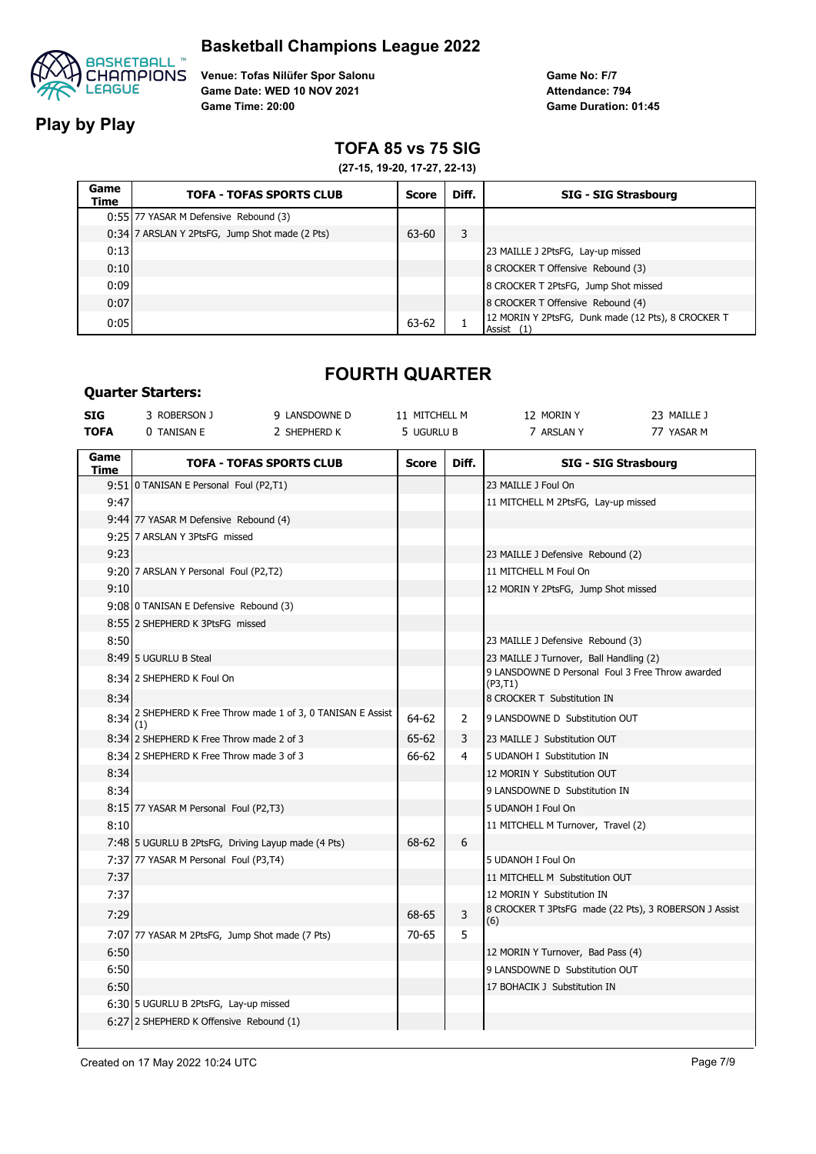

**Play by Play**

**Venue: Tofas Nilüfer Spor Salonu Game Date: WED 10 NOV 2021 Game Time: 20:00**

**Game No: F/7 Game Duration: 01:45 Attendance: 794**

## **TOFA 85 vs 75 SIG**

**(27-15, 19-20, 17-27, 22-13)**

| Game<br>Time | <b>TOFA - TOFAS SPORTS CLUB</b>                | Score | Diff. | <b>SIG - SIG Strasbourg</b>                                      |
|--------------|------------------------------------------------|-------|-------|------------------------------------------------------------------|
|              | 0:55 77 YASAR M Defensive Rebound (3)          |       |       |                                                                  |
|              | 0:34 7 ARSLAN Y 2PtsFG, Jump Shot made (2 Pts) | 63-60 | 3     |                                                                  |
| 0:13         |                                                |       |       | 23 MAILLE J 2PtsFG, Lay-up missed                                |
| 0:10         |                                                |       |       | 8 CROCKER T Offensive Rebound (3)                                |
| 0:09         |                                                |       |       | 8 CROCKER T 2PtsFG, Jump Shot missed                             |
| 0:07         |                                                |       |       | 8 CROCKER T Offensive Rebound (4)                                |
| 0:05         |                                                | 63-62 |       | 12 MORIN Y 2PtsFG, Dunk made (12 Pts), 8 CROCKER T<br>Assist (1) |

# **FOURTH QUARTER**

#### **Quarter Starters:**

| Game        |            |             |              |                |             |
|-------------|------------|-------------|--------------|----------------|-------------|
| <b>TOFA</b> | TANISAN E  | Shepherd K  | 5 UGURLU B   | <b>ARSLANY</b> | YASAR M     |
| <b>SIG</b>  | ROBERSON J | LANSDOWNE D | . Mitchell M | 12 Morin y     | 23 MAILLE J |

| Game<br>Time | <b>TOFA - TOFAS SPORTS CLUB</b>                                     | <b>Score</b> | Diff. | <b>SIG - SIG Strasbourg</b>                                  |
|--------------|---------------------------------------------------------------------|--------------|-------|--------------------------------------------------------------|
|              | 9:51 0 TANISAN E Personal Foul (P2,T1)                              |              |       | 23 MAILLE J Foul On                                          |
| 9:47         |                                                                     |              |       | 11 MITCHELL M 2PtsFG, Lay-up missed                          |
|              | 9:44 77 YASAR M Defensive Rebound (4)                               |              |       |                                                              |
|              | 9:25 7 ARSLAN Y 3PtsFG missed                                       |              |       |                                                              |
| 9:23         |                                                                     |              |       | 23 MAILLE J Defensive Rebound (2)                            |
|              | 9:20 7 ARSLAN Y Personal Foul (P2,T2)                               |              |       | 11 MITCHELL M Foul On                                        |
| 9:10         |                                                                     |              |       | 12 MORIN Y 2PtsFG, Jump Shot missed                          |
|              | 9:08 0 TANISAN E Defensive Rebound (3)                              |              |       |                                                              |
|              | 8:55 2 SHEPHERD K 3PtsFG missed                                     |              |       |                                                              |
| 8:50         |                                                                     |              |       | 23 MAILLE J Defensive Rebound (3)                            |
|              | 8:49 5 UGURLU B Steal                                               |              |       | 23 MAILLE J Turnover, Ball Handling (2)                      |
|              | 8:34 2 SHEPHERD K Foul On                                           |              |       | 9 LANSDOWNE D Personal Foul 3 Free Throw awarded<br>(P3, T1) |
| 8:34         |                                                                     |              |       | 8 CROCKER T Substitution IN                                  |
|              | 8:34 2 SHEPHERD K Free Throw made 1 of 3, 0 TANISAN E Assist<br>(1) | 64-62        | 2     | 9 LANSDOWNE D Substitution OUT                               |
|              | 8:34 2 SHEPHERD K Free Throw made 2 of 3                            | 65-62        | 3     | 23 MAILLE J Substitution OUT                                 |
|              | 8:34 2 SHEPHERD K Free Throw made 3 of 3                            | 66-62        | 4     | 5 UDANOH I Substitution IN                                   |
| 8:34         |                                                                     |              |       | 12 MORIN Y Substitution OUT                                  |
| 8:34         |                                                                     |              |       | 9 LANSDOWNE D Substitution IN                                |
|              | 8:15 77 YASAR M Personal Foul (P2,T3)                               |              |       | 5 UDANOH I Foul On                                           |
| 8:10         |                                                                     |              |       | 11 MITCHELL M Turnover, Travel (2)                           |
|              | 7:48 5 UGURLU B 2PtsFG, Driving Layup made (4 Pts)                  | 68-62        | 6     |                                                              |
|              | 7:37 77 YASAR M Personal Foul (P3,T4)                               |              |       | 5 UDANOH I Foul On                                           |
| 7:37         |                                                                     |              |       | 11 MITCHELL M Substitution OUT                               |
| 7:37         |                                                                     |              |       | 12 MORIN Y Substitution IN                                   |
| 7:29         |                                                                     | 68-65        | 3     | 8 CROCKER T 3PtsFG made (22 Pts), 3 ROBERSON J Assist<br>(6) |
|              | 7:07 77 YASAR M 2PtsFG, Jump Shot made (7 Pts)                      | $70 - 65$    | 5     |                                                              |
| 6:50         |                                                                     |              |       | 12 MORIN Y Turnover, Bad Pass (4)                            |
| 6:50         |                                                                     |              |       | 9 LANSDOWNE D Substitution OUT                               |
| 6:50         |                                                                     |              |       | 17 BOHACIK J Substitution IN                                 |
|              | 6:30 5 UGURLU B 2PtsFG, Lay-up missed                               |              |       |                                                              |
|              | 6:27 2 SHEPHERD K Offensive Rebound (1)                             |              |       |                                                              |

 $\overline{\phantom{a}}$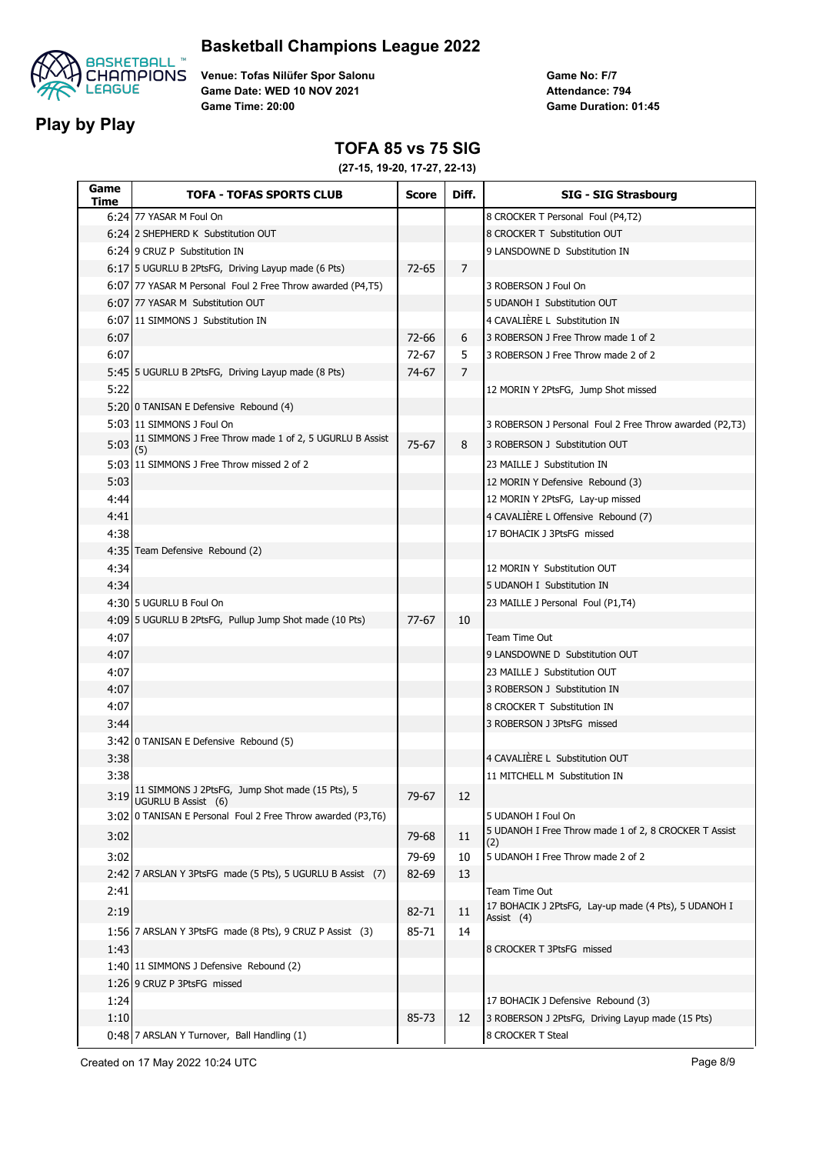

**Play by Play**

**Venue: Tofas Nilüfer Spor Salonu Game Date: WED 10 NOV 2021 Game Time: 20:00**

**Game No: F/7 Game Duration: 01:45 Attendance: 794**

#### **TOFA 85 vs 75 SIG**

**(27-15, 19-20, 17-27, 22-13)**

| Game<br>Time | <b>TOFA - TOFAS SPORTS CLUB</b>                                               | <b>Score</b> | Diff.          | <b>SIG - SIG Strasbourg</b>                                        |
|--------------|-------------------------------------------------------------------------------|--------------|----------------|--------------------------------------------------------------------|
|              | 6:24 77 YASAR M Foul On                                                       |              |                | 8 CROCKER T Personal Foul (P4,T2)                                  |
|              | 6:24 2 SHEPHERD K Substitution OUT                                            |              |                | 8 CROCKER T Substitution OUT                                       |
|              | 6:24 9 CRUZ P Substitution IN                                                 |              |                | 9 LANSDOWNE D Substitution IN                                      |
|              | 6:17 5 UGURLU B 2PtsFG, Driving Layup made (6 Pts)                            | $72 - 65$    | $\overline{7}$ |                                                                    |
|              | 6:07 77 YASAR M Personal Foul 2 Free Throw awarded (P4,T5)                    |              |                | 3 ROBERSON J Foul On                                               |
|              | 6:07 77 YASAR M Substitution OUT                                              |              |                | 5 UDANOH I Substitution OUT                                        |
|              | 6:07 11 SIMMONS J Substitution IN                                             |              |                | 4 CAVALIÈRE L Substitution IN                                      |
| 6:07         |                                                                               | 72-66        | 6              | 3 ROBERSON J Free Throw made 1 of 2                                |
| 6:07         |                                                                               | $72 - 67$    | 5              | 3 ROBERSON J Free Throw made 2 of 2                                |
|              | 5:45 5 UGURLU B 2PtsFG, Driving Layup made (8 Pts)                            | 74-67        | $\overline{7}$ |                                                                    |
| 5:22         |                                                                               |              |                | 12 MORIN Y 2PtsFG, Jump Shot missed                                |
|              | 5:20 0 TANISAN E Defensive Rebound (4)                                        |              |                |                                                                    |
|              | 5:03 11 SIMMONS J Foul On                                                     |              |                | 3 ROBERSON J Personal Foul 2 Free Throw awarded (P2,T3)            |
|              | 5:03 11 SIMMONS J Free Throw made 1 of 2, 5 UGURLU B Assist<br>(5)            | $75-67$      | 8              | 3 ROBERSON J Substitution OUT                                      |
|              | 5:03 11 SIMMONS J Free Throw missed 2 of 2                                    |              |                | 23 MAILLE J Substitution IN                                        |
| 5:03         |                                                                               |              |                | 12 MORIN Y Defensive Rebound (3)                                   |
| 4:44         |                                                                               |              |                | 12 MORIN Y 2PtsFG, Lay-up missed                                   |
| 4:41         |                                                                               |              |                | 4 CAVALIÈRE L Offensive Rebound (7)                                |
| 4:38         |                                                                               |              |                | 17 BOHACIK J 3PtsFG missed                                         |
|              | 4:35 Team Defensive Rebound (2)                                               |              |                |                                                                    |
| 4:34         |                                                                               |              |                | 12 MORIN Y Substitution OUT                                        |
| 4:34         |                                                                               |              |                | 5 UDANOH I Substitution IN                                         |
|              | 4:30 5 UGURLU B Foul On                                                       |              |                | 23 MAILLE J Personal Foul (P1,T4)                                  |
|              | 4:09 5 UGURLU B 2PtsFG, Pullup Jump Shot made (10 Pts)                        | 77-67        | 10             |                                                                    |
| 4:07         |                                                                               |              |                | Team Time Out                                                      |
| 4:07         |                                                                               |              |                | 9 LANSDOWNE D Substitution OUT                                     |
| 4:07         |                                                                               |              |                | 23 MAILLE J Substitution OUT                                       |
| 4:07         |                                                                               |              |                | 3 ROBERSON J Substitution IN                                       |
| 4:07         |                                                                               |              |                | 8 CROCKER T Substitution IN                                        |
| 3:44         |                                                                               |              |                | 3 ROBERSON J 3PtsFG missed                                         |
|              | 3:42 0 TANISAN E Defensive Rebound (5)                                        |              |                |                                                                    |
| 3:38         |                                                                               |              |                | 4 CAVALIÈRE L Substitution OUT                                     |
| 3:38         |                                                                               |              |                | 11 MITCHELL M Substitution IN                                      |
|              | $3:19$ 11 SIMMONS J 2PtsFG, Jump Shot made (15 Pts), 5<br>UGURLU B Assist (6) | 79-67        | 12             |                                                                    |
|              | 3:02 0 TANISAN E Personal Foul 2 Free Throw awarded (P3,T6)                   |              |                | 5 UDANOH I Foul On                                                 |
| 3:02         |                                                                               | 79-68        | 11             | 5 UDANOH I Free Throw made 1 of 2, 8 CROCKER T Assist<br>(2)       |
| 3:02         |                                                                               | 79-69        | 10             | 5 UDANOH I Free Throw made 2 of 2                                  |
|              | 2:42 7 ARSLAN Y 3PtsFG made (5 Pts), 5 UGURLU B Assist (7)                    | 82-69        | 13             |                                                                    |
| 2:41         |                                                                               |              |                | Team Time Out                                                      |
| 2:19         |                                                                               | 82-71        | 11             | 17 BOHACIK J 2PtsFG, Lay-up made (4 Pts), 5 UDANOH I<br>Assist (4) |
|              | 1:56 7 ARSLAN Y 3PtsFG made (8 Pts), 9 CRUZ P Assist (3)                      | 85-71        | 14             |                                                                    |
| 1:43         |                                                                               |              |                | 8 CROCKER T 3PtsFG missed                                          |
|              | 1:40 11 SIMMONS J Defensive Rebound (2)                                       |              |                |                                                                    |
|              | 1:26 9 CRUZ P 3PtsFG missed                                                   |              |                |                                                                    |
| 1:24         |                                                                               |              |                | 17 BOHACIK J Defensive Rebound (3)                                 |
| 1:10         |                                                                               | 85-73        | 12             | 3 ROBERSON J 2PtsFG, Driving Layup made (15 Pts)                   |
|              | 0:48 7 ARSLAN Y Turnover, Ball Handling (1)                                   |              |                | 8 CROCKER T Steal                                                  |

Created on 17 May 2022 10:24 UTC **Page 8/9**